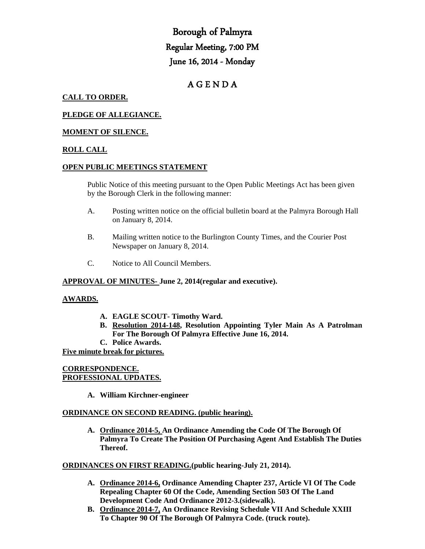# Borough of Palmyra Regular Meeting, 7:00 PM June 16, 2014 - Monday

# A G E N D A

# **CALL TO ORDER.**

# **PLEDGE OF ALLEGIANCE.**

# **MOMENT OF SILENCE.**

# **ROLL CALL**

#### **OPEN PUBLIC MEETINGS STATEMENT**

Public Notice of this meeting pursuant to the Open Public Meetings Act has been given by the Borough Clerk in the following manner:

- A. Posting written notice on the official bulletin board at the Palmyra Borough Hall on January 8, 2014.
- B. Mailing written notice to the Burlington County Times, and the Courier Post Newspaper on January 8, 2014.
- C. Notice to All Council Members.

#### **APPROVAL OF MINUTES- June 2, 2014(regular and executive).**

#### **AWARDS.**

- **A. EAGLE SCOUT- Timothy Ward.**
- **B. Resolution 2014-148, Resolution Appointing Tyler Main As A Patrolman For The Borough Of Palmyra Effective June 16, 2014.**
- **C. Police Awards.**

#### **Five minute break for pictures.**

# **CORRESPONDENCE. PROFESSIONAL UPDATES.**

**A. William Kirchner-engineer**

#### **ORDINANCE ON SECOND READING. (public hearing).**

**A. Ordinance 2014-5, An Ordinance Amending the Code Of The Borough Of Palmyra To Create The Position Of Purchasing Agent And Establish The Duties Thereof.**

#### **ORDINANCES ON FIRST READING.(public hearing-July 21, 2014).**

- **A. Ordinance 2014-6, Ordinance Amending Chapter 237, Article VI Of The Code Repealing Chapter 60 Of the Code, Amending Section 503 Of The Land Development Code And Ordinance 2012-3.(sidewalk).**
- **B. Ordinance 2014-7, An Ordinance Revising Schedule VII And Schedule XXIII To Chapter 90 Of The Borough Of Palmyra Code. (truck route).**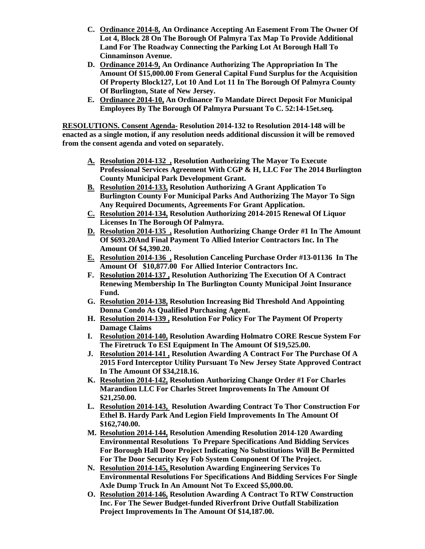- **C. Ordinance 2014-8, An Ordinance Accepting An Easement From The Owner Of Lot 4, Block 28 On The Borough Of Palmyra Tax Map To Provide Additional Land For The Roadway Connecting the Parking Lot At Borough Hall To Cinnaminson Avenue.**
- **D. Ordinance 2014-9, An Ordinance Authorizing The Appropriation In The Amount Of \$15,000.00 From General Capital Fund Surplus for the Acquisition Of Property Block127, Lot 10 And Lot 11 In The Borough Of Palmyra County Of Burlington, State of New Jersey.**
- **E. Ordinance 2014-10, An Ordinance To Mandate Direct Deposit For Municipal Employees By The Borough Of Palmyra Pursuant To C. 52:14-15et.seq.**

**RESOLUTIONS. Consent Agenda- Resolution 2014-132 to Resolution 2014-148 will be enacted as a single motion, if any resolution needs additional discussion it will be removed from the consent agenda and voted on separately.**

- **A. Resolution 2014-132 , Resolution Authorizing The Mayor To Execute Professional Services Agreement With CGP & H, LLC For The 2014 Burlington County Municipal Park Development Grant.**
- **B. Resolution 2014-133, Resolution Authorizing A Grant Application To Burlington County For Municipal Parks And Authorizing The Mayor To Sign Any Required Documents, Agreements For Grant Application.**
- **C. Resolution 2014-134, Resolution Authorizing 2014-2015 Renewal Of Liquor Licenses In The Borough Of Palmyra.**
- **D. Resolution 2014-135 , Resolution Authorizing Change Order #1 In The Amount Of \$693.20And Final Payment To Allied Interior Contractors Inc. In The Amount Of \$4,390.20.**
- **E. Resolution 2014-136 , Resolution Canceling Purchase Order #13-01136 In The Amount Of \$10,877.00 For Allied Interior Contractors Inc.**
- **F. Resolution 2014-137 , Resolution Authorizing The Execution Of A Contract Renewing Membership In The Burlington County Municipal Joint Insurance Fund.**
- **G. Resolution 2014-138, Resolution Increasing Bid Threshold And Appointing Donna Condo As Qualified Purchasing Agent.**
- **H. Resolution 2014-139 , Resolution For Policy For The Payment Of Property Damage Claims**
- **I. Resolution 2014-140, Resolution Awarding Holmatro CORE Rescue System For The Firetruck To ESI Equipment In The Amount Of \$19,525.00.**
- **J. Resolution 2014-141 , Resolution Awarding A Contract For The Purchase Of A 2015 Ford Interceptor Utility Pursuant To New Jersey State Approved Contract In The Amount Of \$34,218.16.**
- **K. Resolution 2014-142, Resolution Authorizing Change Order #1 For Charles Marandion LLC For Charles Street Improvements In The Amount Of \$21,250.00.**
- **L. Resolution 2014-143, Resolution Awarding Contract To Thor Construction For Ethel B. Hardy Park And Legion Field Improvements In The Amount Of \$162,740.00.**
- **M. Resolution 2014-144, Resolution Amending Resolution 2014-120 Awarding Environmental Resolutions To Prepare Specifications And Bidding Services For Borough Hall Door Project Indicating No Substitutions Will Be Permitted For The Door Security Key Fob System Component Of The Project.**
- **N. Resolution 2014-145, Resolution Awarding Engineering Services To Environmental Resolutions For Specifications And Bidding Services For Single Axle Dump Truck In An Amount Not To Exceed \$5,000.00.**
- **O. Resolution 2014-146, Resolution Awarding A Contract To RTW Construction Inc. For The Sewer Budget-funded Riverfront Drive Outfall Stabilization Project Improvements In The Amount Of \$14,187.00.**